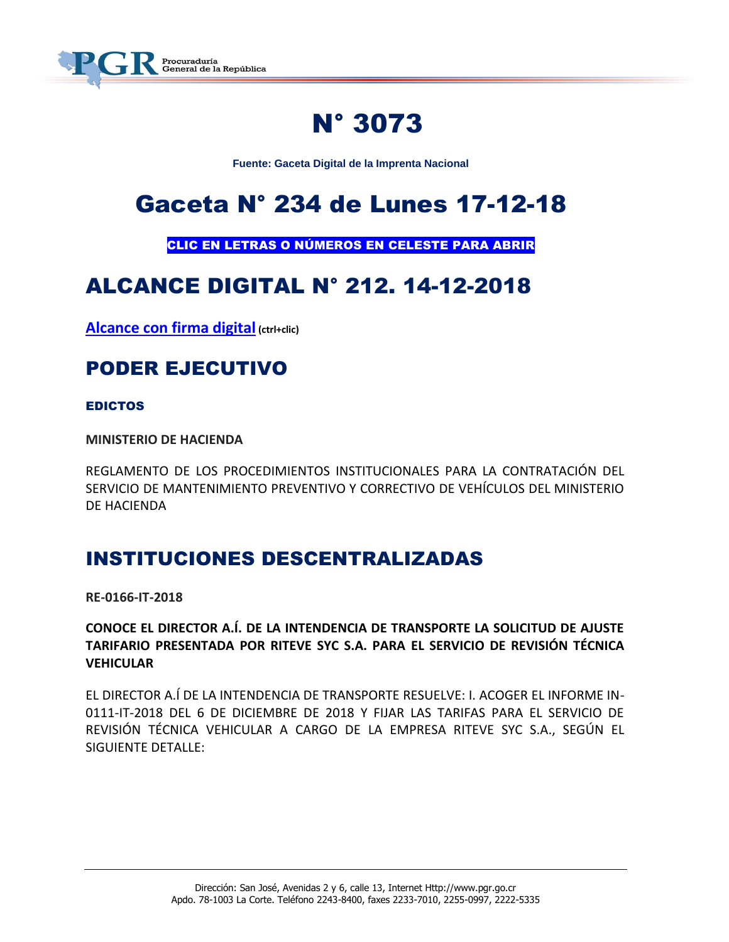

# N° 3073

**Fuente: Gaceta Digital de la Imprenta Nacional**

# Gaceta N° 234 de Lunes 17-12-18

CLIC EN LETRAS O NÚMEROS EN CELESTE PARA ABRIR

# ALCANCE DIGITAL N° 212. 14-12-2018

**[Alcance con firma digital](https://www.imprentanacional.go.cr/pub/2018/12/14/ALCA212_14_12_2018.pdf) (ctrl+clic)**

# PODER EJECUTIVO

#### EDICTOS

**MINISTERIO DE HACIENDA**

REGLAMENTO DE LOS PROCEDIMIENTOS INSTITUCIONALES PARA LA CONTRATACIÓN DEL SERVICIO DE MANTENIMIENTO PREVENTIVO Y CORRECTIVO DE VEHÍCULOS DEL MINISTERIO DE HACIENDA

### INSTITUCIONES DESCENTRALIZADAS

**RE-0166-IT-2018**

**CONOCE EL DIRECTOR A.Í. DE LA INTENDENCIA DE TRANSPORTE LA SOLICITUD DE AJUSTE TARIFARIO PRESENTADA POR RITEVE SYC S.A. PARA EL SERVICIO DE REVISIÓN TÉCNICA VEHICULAR**

EL DIRECTOR A.Í DE LA INTENDENCIA DE TRANSPORTE RESUELVE: I. ACOGER EL INFORME IN-0111-IT-2018 DEL 6 DE DICIEMBRE DE 2018 Y FIJAR LAS TARIFAS PARA EL SERVICIO DE REVISIÓN TÉCNICA VEHICULAR A CARGO DE LA EMPRESA RITEVE SYC S.A., SEGÚN EL SIGUIENTE DETALLE: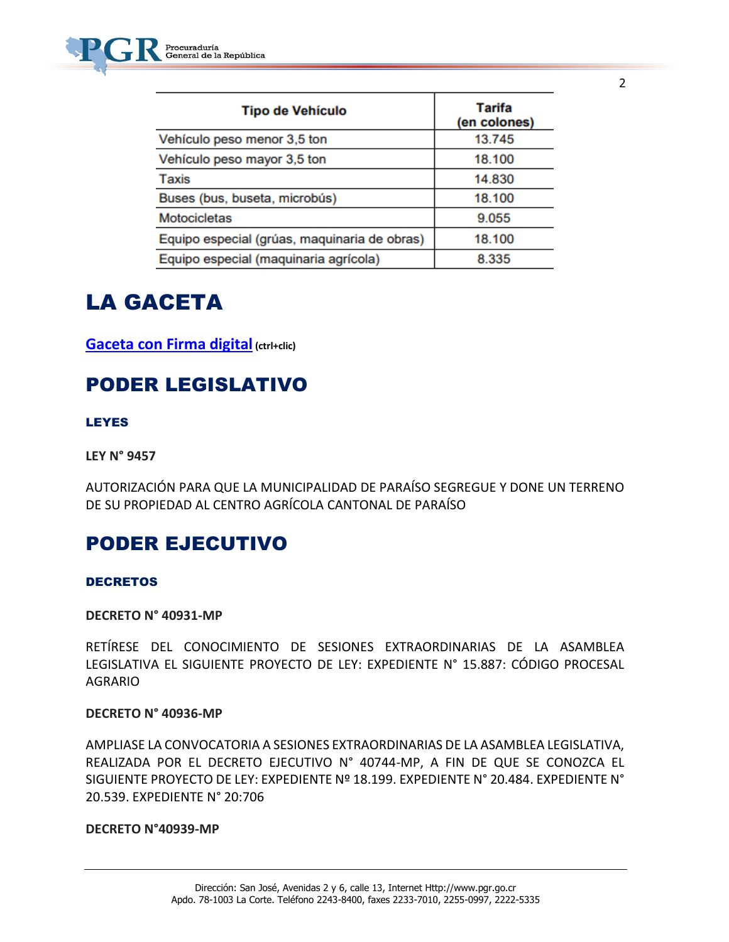| <b>Tipo de Vehículo</b>                      | Tarifa<br>(en colones) |
|----------------------------------------------|------------------------|
| Vehículo peso menor 3,5 ton                  | 13.745                 |
| Vehículo peso mayor 3,5 ton                  | 18.100                 |
| Taxis                                        | 14.830                 |
| Buses (bus, buseta, microbús)                | 18.100                 |
| Motocicletas                                 | 9.055                  |
| Equipo especial (grúas, maquinaria de obras) | 18.100                 |
| Equipo especial (maquinaria agrícola)        | 8.335                  |

# LA GACETA

**[Gaceta con Firma digital](https://www.imprentanacional.go.cr/pub/2018/12/17/COMP_17_12_2018.pdf) (ctrl+clic)**

## PODER LEGISLATIVO

#### LEYES

**LEY N° 9457**

AUTORIZACIÓN PARA QUE LA MUNICIPALIDAD DE PARAÍSO SEGREGUE Y DONE UN TERRENO DE SU PROPIEDAD AL CENTRO AGRÍCOLA CANTONAL DE PARAÍSO

# PODER EJECUTIVO

#### **DECRETOS**

#### **DECRETO N° 40931-MP**

RETÍRESE DEL CONOCIMIENTO DE SESIONES EXTRAORDINARIAS DE LA ASAMBLEA LEGISLATIVA EL SIGUIENTE PROYECTO DE LEY: EXPEDIENTE N° 15.887: CÓDIGO PROCESAL AGRARIO

#### **DECRETO N° 40936-MP**

AMPLIASE LA CONVOCATORIA A SESIONES EXTRAORDINARIAS DE LA ASAMBLEA LEGISLATIVA, REALIZADA POR EL DECRETO EJECUTIVO N° 40744-MP, A FIN DE QUE SE CONOZCA EL SIGUIENTE PROYECTO DE LEY: EXPEDIENTE Nº 18.199. EXPEDIENTE N° 20.484. EXPEDIENTE N° 20.539. EXPEDIENTE N° 20:706

#### **DECRETO N°40939-MP**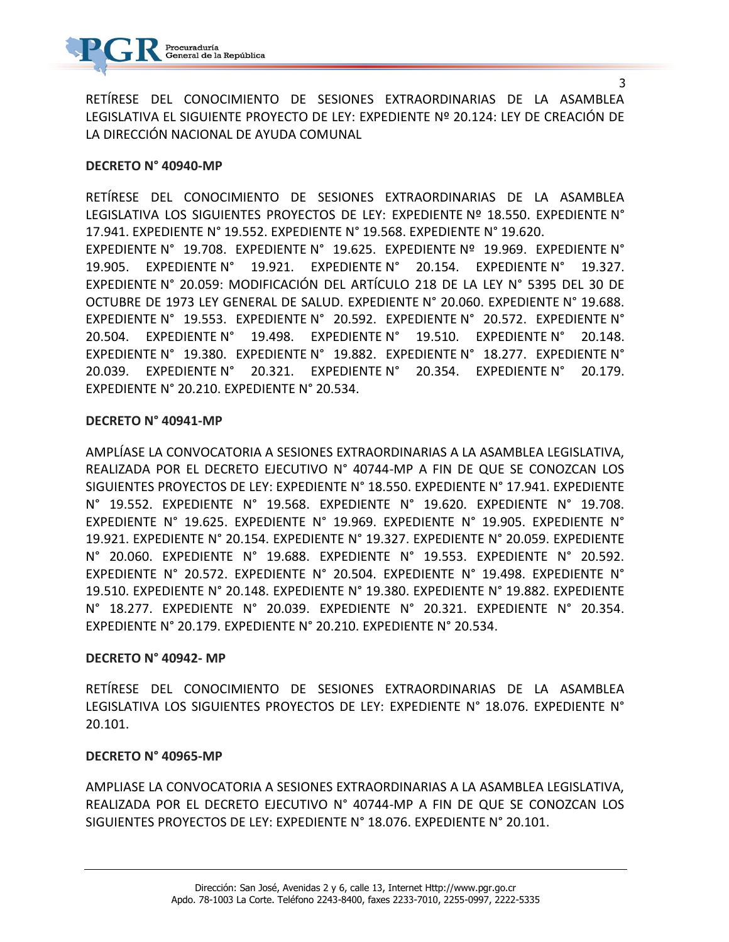

RETÍRESE DEL CONOCIMIENTO DE SESIONES EXTRAORDINARIAS DE LA ASAMBLEA LEGISLATIVA EL SIGUIENTE PROYECTO DE LEY: EXPEDIENTE Nº 20.124: LEY DE CREACIÓN DE LA DIRECCIÓN NACIONAL DE AYUDA COMUNAL

#### **DECRETO N° 40940-MP**

RETÍRESE DEL CONOCIMIENTO DE SESIONES EXTRAORDINARIAS DE LA ASAMBLEA LEGISLATIVA LOS SIGUIENTES PROYECTOS DE LEY: EXPEDIENTE Nº 18.550. EXPEDIENTE N° 17.941. EXPEDIENTE N° 19.552. EXPEDIENTE N° 19.568. EXPEDIENTE N° 19.620. EXPEDIENTE N° 19.708. EXPEDIENTE N° 19.625. EXPEDIENTE Nº 19.969. EXPEDIENTE N° 19.905. EXPEDIENTE N° 19.921. EXPEDIENTE N° 20.154. EXPEDIENTE N° 19.327. EXPEDIENTE N° 20.059: MODIFICACIÓN DEL ARTÍCULO 218 DE LA LEY N° 5395 DEL 30 DE OCTUBRE DE 1973 LEY GENERAL DE SALUD. EXPEDIENTE N° 20.060. EXPEDIENTE N° 19.688. EXPEDIENTE N° 19.553. EXPEDIENTE N° 20.592. EXPEDIENTE N° 20.572. EXPEDIENTE N° 20.504. EXPEDIENTE N° 19.498. EXPEDIENTE N° 19.510. EXPEDIENTE N° 20.148. EXPEDIENTE N° 19.380. EXPEDIENTE N° 19.882. EXPEDIENTE N° 18.277. EXPEDIENTE N° 20.039. EXPEDIENTE N° 20.321. EXPEDIENTE N° 20.354. EXPEDIENTE N° 20.179. EXPEDIENTE N° 20.210. EXPEDIENTE N° 20.534.

#### **DECRETO N° 40941-MP**

AMPLÍASE LA CONVOCATORIA A SESIONES EXTRAORDINARIAS A LA ASAMBLEA LEGISLATIVA, REALIZADA POR EL DECRETO EJECUTIVO N° 40744-MP A FIN DE QUE SE CONOZCAN LOS SIGUIENTES PROYECTOS DE LEY: EXPEDIENTE N° 18.550. EXPEDIENTE N° 17.941. EXPEDIENTE N° 19.552. EXPEDIENTE N° 19.568. EXPEDIENTE N° 19.620. EXPEDIENTE N° 19.708. EXPEDIENTE N° 19.625. EXPEDIENTE N° 19.969. EXPEDIENTE N° 19.905. EXPEDIENTE N° 19.921. EXPEDIENTE N° 20.154. EXPEDIENTE N° 19.327. EXPEDIENTE N° 20.059. EXPEDIENTE N° 20.060. EXPEDIENTE N° 19.688. EXPEDIENTE N° 19.553. EXPEDIENTE N° 20.592. EXPEDIENTE N° 20.572. EXPEDIENTE N° 20.504. EXPEDIENTE N° 19.498. EXPEDIENTE N° 19.510. EXPEDIENTE N° 20.148. EXPEDIENTE N° 19.380. EXPEDIENTE N° 19.882. EXPEDIENTE N° 18.277. EXPEDIENTE N° 20.039. EXPEDIENTE N° 20.321. EXPEDIENTE N° 20.354. EXPEDIENTE N° 20.179. EXPEDIENTE N° 20.210. EXPEDIENTE N° 20.534.

#### **DECRETO N° 40942- MP**

RETÍRESE DEL CONOCIMIENTO DE SESIONES EXTRAORDINARIAS DE LA ASAMBLEA LEGISLATIVA LOS SIGUIENTES PROYECTOS DE LEY: EXPEDIENTE N° 18.076. EXPEDIENTE N° 20.101.

#### **DECRETO N° 40965-MP**

AMPLIASE LA CONVOCATORIA A SESIONES EXTRAORDINARIAS A LA ASAMBLEA LEGISLATIVA, REALIZADA POR EL DECRETO EJECUTIVO N° 40744-MP A FIN DE QUE SE CONOZCAN LOS SIGUIENTES PROYECTOS DE LEY: EXPEDIENTE N° 18.076. EXPEDIENTE N° 20.101.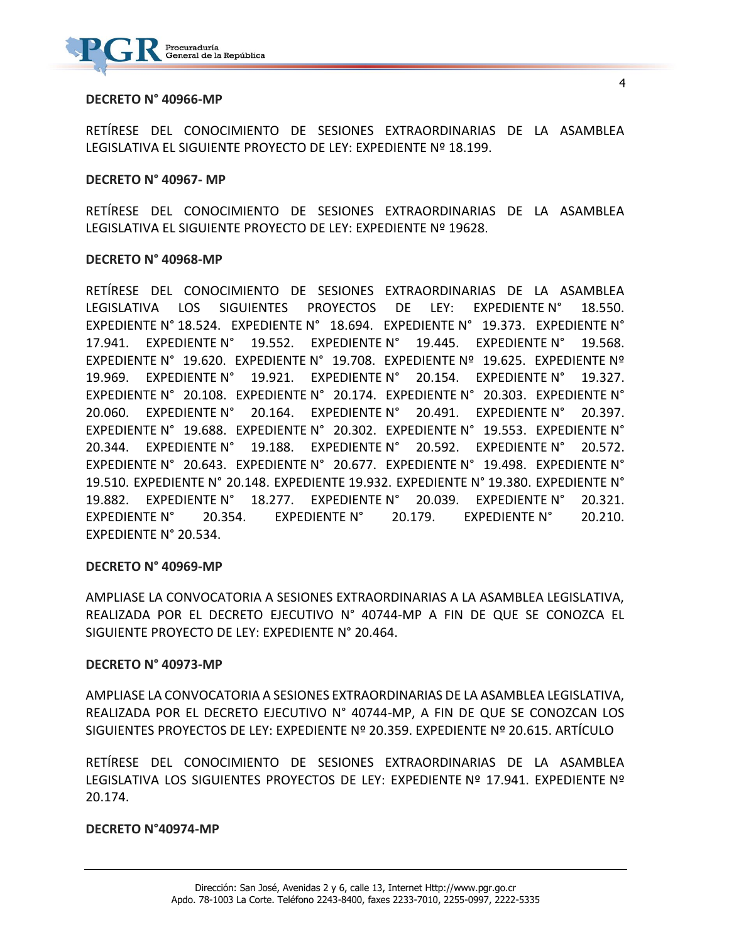

#### **DECRETO N° 40966-MP**

RETÍRESE DEL CONOCIMIENTO DE SESIONES EXTRAORDINARIAS DE LA ASAMBLEA LEGISLATIVA EL SIGUIENTE PROYECTO DE LEY: EXPEDIENTE Nº 18.199.

#### **DECRETO N° 40967- MP**

RETÍRESE DEL CONOCIMIENTO DE SESIONES EXTRAORDINARIAS DE LA ASAMBLEA LEGISLATIVA EL SIGUIENTE PROYECTO DE LEY: EXPEDIENTE Nº 19628.

#### **DECRETO N° 40968-MP**

RETÍRESE DEL CONOCIMIENTO DE SESIONES EXTRAORDINARIAS DE LA ASAMBLEA LEGISLATIVA LOS SIGUIENTES PROYECTOS DE LEY: EXPEDIENTE N° 18.550. EXPEDIENTE N° 18.524. EXPEDIENTE N° 18.694. EXPEDIENTE N° 19.373. EXPEDIENTE N° 17.941. EXPEDIENTE N° 19.552. EXPEDIENTE N° 19.445. EXPEDIENTE N° 19.568. EXPEDIENTE N° 19.620. EXPEDIENTE N° 19.708. EXPEDIENTE Nº 19.625. EXPEDIENTE Nº 19.969. EXPEDIENTE N° 19.921. EXPEDIENTE N° 20.154. EXPEDIENTE N° 19.327. EXPEDIENTE N° 20.108. EXPEDIENTE N° 20.174. EXPEDIENTE N° 20.303. EXPEDIENTE N° 20.060. EXPEDIENTE N° 20.164. EXPEDIENTE N° 20.491. EXPEDIENTE N° 20.397. EXPEDIENTE N° 19.688. EXPEDIENTE N° 20.302. EXPEDIENTE N° 19.553. EXPEDIENTE N° 20.344. EXPEDIENTE N° 19.188. EXPEDIENTE N° 20.592. EXPEDIENTE N° 20.572. EXPEDIENTE N° 20.643. EXPEDIENTE N° 20.677. EXPEDIENTE N° 19.498. EXPEDIENTE N° 19.510. EXPEDIENTE N° 20.148. EXPEDIENTE 19.932. EXPEDIENTE N° 19.380. EXPEDIENTE N° 19.882. EXPEDIENTE N° 18.277. EXPEDIENTE N° 20.039. EXPEDIENTE N° 20.321. EXPEDIENTE N° 20.354. EXPEDIENTE N° 20.179. EXPEDIENTE N° 20.210. EXPEDIENTE N° 20.534.

#### **DECRETO N° 40969-MP**

AMPLIASE LA CONVOCATORIA A SESIONES EXTRAORDINARIAS A LA ASAMBLEA LEGISLATIVA, REALIZADA POR EL DECRETO EJECUTIVO N° 40744-MP A FIN DE QUE SE CONOZCA EL SIGUIENTE PROYECTO DE LEY: EXPEDIENTE N° 20.464.

#### **DECRETO N° 40973-MP**

AMPLIASE LA CONVOCATORIA A SESIONES EXTRAORDINARIAS DE LA ASAMBLEA LEGISLATIVA, REALIZADA POR EL DECRETO EJECUTIVO N° 40744-MP, A FIN DE QUE SE CONOZCAN LOS SIGUIENTES PROYECTOS DE LEY: EXPEDIENTE Nº 20.359. EXPEDIENTE Nº 20.615. ARTÍCULO

RETÍRESE DEL CONOCIMIENTO DE SESIONES EXTRAORDINARIAS DE LA ASAMBLEA LEGISLATIVA LOS SIGUIENTES PROYECTOS DE LEY: EXPEDIENTE Nº 17.941. EXPEDIENTE Nº 20.174.

#### **DECRETO N°40974-MP**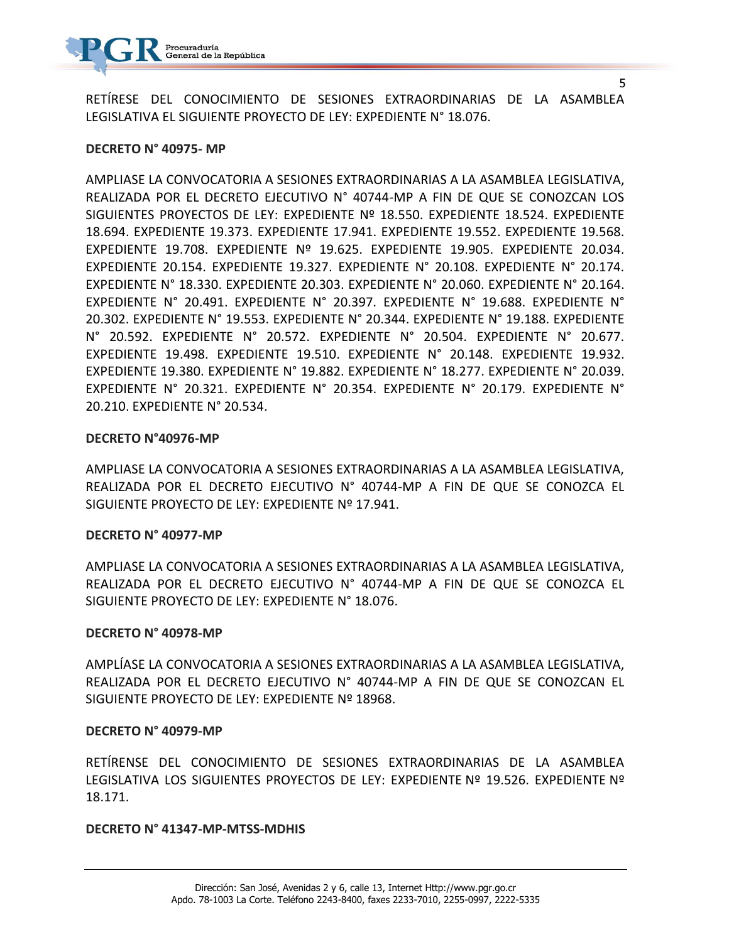

RETÍRESE DEL CONOCIMIENTO DE SESIONES EXTRAORDINARIAS DE LA ASAMBLEA LEGISLATIVA EL SIGUIENTE PROYECTO DE LEY: EXPEDIENTE N° 18.076.

#### **DECRETO N° 40975- MP**

AMPLIASE LA CONVOCATORIA A SESIONES EXTRAORDINARIAS A LA ASAMBLEA LEGISLATIVA, REALIZADA POR EL DECRETO EJECUTIVO N° 40744-MP A FIN DE QUE SE CONOZCAN LOS SIGUIENTES PROYECTOS DE LEY: EXPEDIENTE Nº 18.550. EXPEDIENTE 18.524. EXPEDIENTE 18.694. EXPEDIENTE 19.373. EXPEDIENTE 17.941. EXPEDIENTE 19.552. EXPEDIENTE 19.568. EXPEDIENTE 19.708. EXPEDIENTE Nº 19.625. EXPEDIENTE 19.905. EXPEDIENTE 20.034. EXPEDIENTE 20.154. EXPEDIENTE 19.327. EXPEDIENTE N° 20.108. EXPEDIENTE N° 20.174. EXPEDIENTE N° 18.330. EXPEDIENTE 20.303. EXPEDIENTE N° 20.060. EXPEDIENTE N° 20.164. EXPEDIENTE N° 20.491. EXPEDIENTE N° 20.397. EXPEDIENTE N° 19.688. EXPEDIENTE N° 20.302. EXPEDIENTE N° 19.553. EXPEDIENTE N° 20.344. EXPEDIENTE N° 19.188. EXPEDIENTE N° 20.592. EXPEDIENTE N° 20.572. EXPEDIENTE N° 20.504. EXPEDIENTE N° 20.677. EXPEDIENTE 19.498. EXPEDIENTE 19.510. EXPEDIENTE N° 20.148. EXPEDIENTE 19.932. EXPEDIENTE 19.380. EXPEDIENTE N° 19.882. EXPEDIENTE N° 18.277. EXPEDIENTE N° 20.039. EXPEDIENTE N° 20.321. EXPEDIENTE N° 20.354. EXPEDIENTE N° 20.179. EXPEDIENTE N° 20.210. EXPEDIENTE N° 20.534.

#### **DECRETO N°40976-MP**

AMPLIASE LA CONVOCATORIA A SESIONES EXTRAORDINARIAS A LA ASAMBLEA LEGISLATIVA, REALIZADA POR EL DECRETO EJECUTIVO N° 40744-MP A FIN DE QUE SE CONOZCA EL SIGUIENTE PROYECTO DE LEY: EXPEDIENTE Nº 17.941.

#### **DECRETO N° 40977-MP**

AMPLIASE LA CONVOCATORIA A SESIONES EXTRAORDINARIAS A LA ASAMBLEA LEGISLATIVA, REALIZADA POR EL DECRETO EJECUTIVO N° 40744-MP A FIN DE QUE SE CONOZCA EL SIGUIENTE PROYECTO DE LEY: EXPEDIENTE N° 18.076.

#### **DECRETO N° 40978-MP**

AMPLÍASE LA CONVOCATORIA A SESIONES EXTRAORDINARIAS A LA ASAMBLEA LEGISLATIVA, REALIZADA POR EL DECRETO EJECUTIVO N° 40744-MP A FIN DE QUE SE CONOZCAN EL SIGUIENTE PROYECTO DE LEY: EXPEDIENTE Nº 18968.

#### **DECRETO N° 40979-MP**

RETÍRENSE DEL CONOCIMIENTO DE SESIONES EXTRAORDINARIAS DE LA ASAMBLEA LEGISLATIVA LOS SIGUIENTES PROYECTOS DE LEY: EXPEDIENTE Nº 19.526. EXPEDIENTE Nº 18.171.

#### **DECRETO N° 41347-MP-MTSS-MDHIS**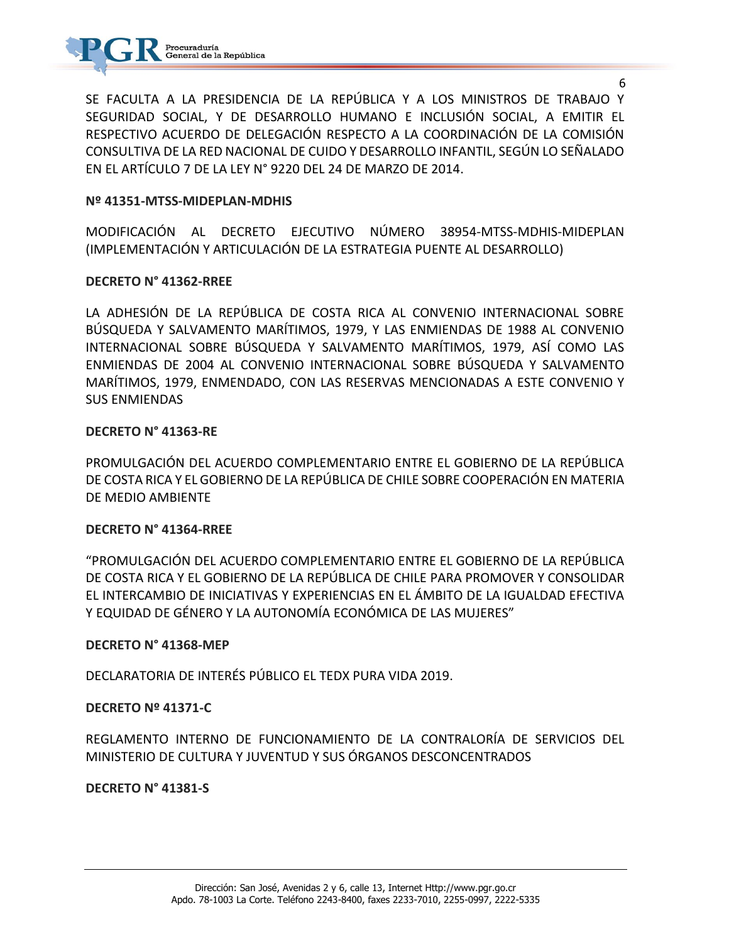

SE FACULTA A LA PRESIDENCIA DE LA REPÚBLICA Y A LOS MINISTROS DE TRABAJO Y SEGURIDAD SOCIAL, Y DE DESARROLLO HUMANO E INCLUSIÓN SOCIAL, A EMITIR EL RESPECTIVO ACUERDO DE DELEGACIÓN RESPECTO A LA COORDINACIÓN DE LA COMISIÓN CONSULTIVA DE LA RED NACIONAL DE CUIDO Y DESARROLLO INFANTIL, SEGÚN LO SEÑALADO EN EL ARTÍCULO 7 DE LA LEY N° 9220 DEL 24 DE MARZO DE 2014.

#### **Nº 41351-MTSS-MIDEPLAN-MDHIS**

MODIFICACIÓN AL DECRETO EJECUTIVO NÚMERO 38954-MTSS-MDHIS-MIDEPLAN (IMPLEMENTACIÓN Y ARTICULACIÓN DE LA ESTRATEGIA PUENTE AL DESARROLLO)

#### **DECRETO N° 41362-RREE**

LA ADHESIÓN DE LA REPÚBLICA DE COSTA RICA AL CONVENIO INTERNACIONAL SOBRE BÚSQUEDA Y SALVAMENTO MARÍTIMOS, 1979, Y LAS ENMIENDAS DE 1988 AL CONVENIO INTERNACIONAL SOBRE BÚSQUEDA Y SALVAMENTO MARÍTIMOS, 1979, ASÍ COMO LAS ENMIENDAS DE 2004 AL CONVENIO INTERNACIONAL SOBRE BÚSQUEDA Y SALVAMENTO MARÍTIMOS, 1979, ENMENDADO, CON LAS RESERVAS MENCIONADAS A ESTE CONVENIO Y SUS ENMIENDAS

#### **DECRETO N° 41363-RE**

PROMULGACIÓN DEL ACUERDO COMPLEMENTARIO ENTRE EL GOBIERNO DE LA REPÚBLICA DE COSTA RICA Y EL GOBIERNO DE LA REPÚBLICA DE CHILE SOBRE COOPERACIÓN EN MATERIA DE MEDIO AMBIENTE

#### **DECRETO N° 41364-RREE**

"PROMULGACIÓN DEL ACUERDO COMPLEMENTARIO ENTRE EL GOBIERNO DE LA REPÚBLICA DE COSTA RICA Y EL GOBIERNO DE LA REPÚBLICA DE CHILE PARA PROMOVER Y CONSOLIDAR EL INTERCAMBIO DE INICIATIVAS Y EXPERIENCIAS EN EL ÁMBITO DE LA IGUALDAD EFECTIVA Y EQUIDAD DE GÉNERO Y LA AUTONOMÍA ECONÓMICA DE LAS MUJERES"

#### **DECRETO N° 41368-MEP**

DECLARATORIA DE INTERÉS PÚBLICO EL TEDX PURA VIDA 2019.

#### **DECRETO Nº 41371-C**

REGLAMENTO INTERNO DE FUNCIONAMIENTO DE LA CONTRALORÍA DE SERVICIOS DEL MINISTERIO DE CULTURA Y JUVENTUD Y SUS ÓRGANOS DESCONCENTRADOS

#### **DECRETO N° 41381-S**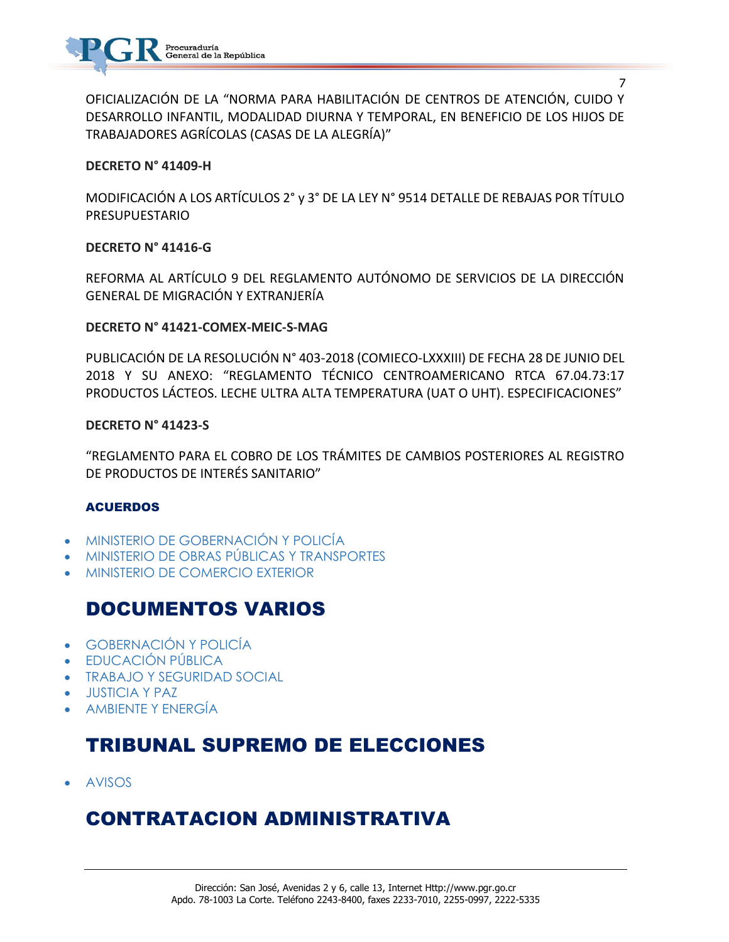

OFICIALIZACIÓN DE LA "NORMA PARA HABILITACIÓN DE CENTROS DE ATENCIÓN, CUIDO Y DESARROLLO INFANTIL, MODALIDAD DIURNA Y TEMPORAL, EN BENEFICIO DE LOS HIJOS DE TRABAJADORES AGRÍCOLAS (CASAS DE LA ALEGRÍA)"

#### **DECRETO N° 41409-H**

MODIFICACIÓN A LOS ARTÍCULOS 2° y 3° DE LA LEY N° 9514 DETALLE DE REBAJAS POR TÍTULO PRESUPUESTARIO

#### **DECRETO N° 41416-G**

REFORMA AL ARTÍCULO 9 DEL REGLAMENTO AUTÓNOMO DE SERVICIOS DE LA DIRECCIÓN GENERAL DE MIGRACIÓN Y EXTRANJERÍA

#### **DECRETO N° 41421-COMEX-MEIC-S-MAG**

PUBLICACIÓN DE LA RESOLUCIÓN N° 403-2018 (COMIECO-LXXXIII) DE FECHA 28 DE JUNIO DEL 2018 Y SU ANEXO: "REGLAMENTO TÉCNICO CENTROAMERICANO RTCA 67.04.73:17 PRODUCTOS LÁCTEOS. LECHE ULTRA ALTA TEMPERATURA (UAT O UHT). ESPECIFICACIONES"

#### **DECRETO N° 41423-S**

"REGLAMENTO PARA EL COBRO DE LOS TRÁMITES DE CAMBIOS POSTERIORES AL REGISTRO DE PRODUCTOS DE INTERÉS SANITARIO"

#### ACUERDOS

- [MINISTERIO DE GOBERNACIÓN Y POLICÍA](https://www.imprentanacional.go.cr/gaceta/#ministerio-de-gobernacin-ypolica)
- [MINISTERIO DE OBRAS PÚBLICAS Y TRANSPORTES](https://www.imprentanacional.go.cr/gaceta/#ministerio-de-obras-pblicas-ytransportes)
- [MINISTERIO DE COMERCIO EXTERIOR](https://www.imprentanacional.go.cr/gaceta/#ministerio-de-comercio-exterior)

### DOCUMENTOS VARIOS

- [GOBERNACIÓN Y POLICÍA](https://www.imprentanacional.go.cr/gaceta/#gobernacin-y-polica)
- [EDUCACIÓN PÚBLICA](https://www.imprentanacional.go.cr/gaceta/#educacin-pblica)
- [TRABAJO Y SEGURIDAD SOCIAL](https://www.imprentanacional.go.cr/gaceta/#trabajo-y-seguridad-social)
- [JUSTICIA Y PAZ](https://www.imprentanacional.go.cr/gaceta/#justicia-y-paz)
- [AMBIENTE Y ENERGÍA](https://www.imprentanacional.go.cr/gaceta/#ambiente-y-energa)

### TRIBUNAL SUPREMO DE ELECCIONES

[AVISOS](https://www.imprentanacional.go.cr/gaceta/#avisos)

## CONTRATACION ADMINISTRATIVA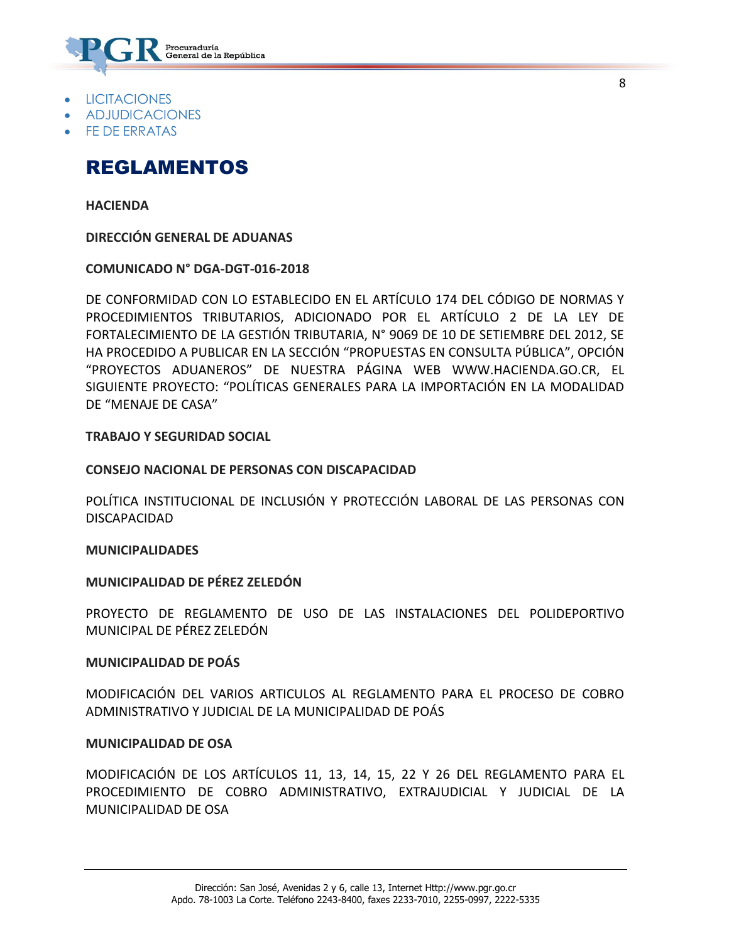

- [LICITACIONES](https://www.imprentanacional.go.cr/gaceta/#licitaciones)
- [ADJUDICACIONES](https://www.imprentanacional.go.cr/gaceta/#adjudicaciones)
- [FE DE ERRATAS](https://www.imprentanacional.go.cr/gaceta/#fe-de-erratas)

### REGLAMENTOS

**[HACIENDA](https://www.imprentanacional.go.cr/gaceta/#hacienda)**

**DIRECCIÓN GENERAL DE ADUANAS**

**COMUNICADO N° DGA-DGT-016-2018**

DE CONFORMIDAD CON LO ESTABLECIDO EN EL ARTÍCULO 174 DEL CÓDIGO DE NORMAS Y PROCEDIMIENTOS TRIBUTARIOS, ADICIONADO POR EL ARTÍCULO 2 DE LA LEY DE FORTALECIMIENTO DE LA GESTIÓN TRIBUTARIA, N° 9069 DE 10 DE SETIEMBRE DEL 2012, SE HA PROCEDIDO A PUBLICAR EN LA SECCIÓN "PROPUESTAS EN CONSULTA PÚBLICA", OPCIÓN "PROYECTOS ADUANEROS" DE NUESTRA PÁGINA WEB WWW.HACIENDA.GO.CR, EL SIGUIENTE PROYECTO: "POLÍTICAS GENERALES PARA LA IMPORTACIÓN EN LA MODALIDAD DE "MENAJE DE CASA"

**[TRABAJO Y SEGURIDAD SOCIAL](https://www.imprentanacional.go.cr/gaceta/#trabajo-y-seguridad-social)**

#### **CONSEJO NACIONAL DE PERSONAS CON DISCAPACIDAD**

POLÍTICA INSTITUCIONAL DE INCLUSIÓN Y PROTECCIÓN LABORAL DE LAS PERSONAS CON DISCAPACIDAD

**[MUNICIPALIDADES](https://www.imprentanacional.go.cr/gaceta/#municipalidades)**

**MUNICIPALIDAD DE PÉREZ ZELEDÓN**

PROYECTO DE REGLAMENTO DE USO DE LAS INSTALACIONES DEL POLIDEPORTIVO MUNICIPAL DE PÉREZ ZELEDÓN

#### **MUNICIPALIDAD DE POÁS**

MODIFICACIÓN DEL VARIOS ARTICULOS AL REGLAMENTO PARA EL PROCESO DE COBRO ADMINISTRATIVO Y JUDICIAL DE LA MUNICIPALIDAD DE POÁS

#### **MUNICIPALIDAD DE OSA**

MODIFICACIÓN DE LOS ARTÍCULOS 11, 13, 14, 15, 22 Y 26 DEL REGLAMENTO PARA EL PROCEDIMIENTO DE COBRO ADMINISTRATIVO, EXTRAJUDICIAL Y JUDICIAL DE LA MUNICIPALIDAD DE OSA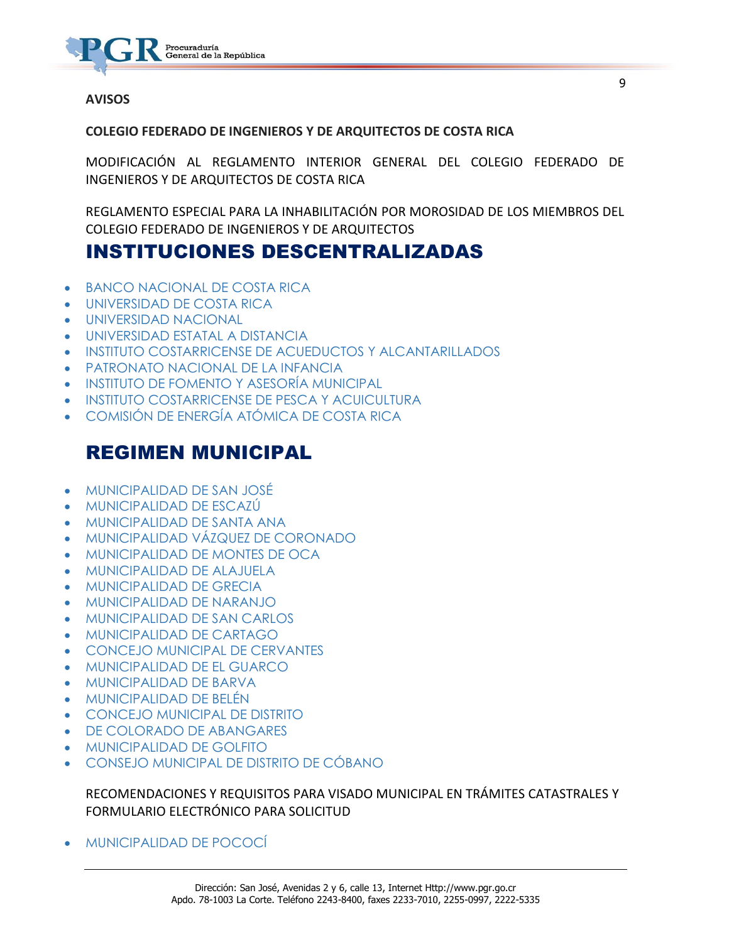

#### **[AVISOS](https://www.imprentanacional.go.cr/gaceta/#avisos)**

#### **COLEGIO FEDERADO DE INGENIEROS Y DE ARQUITECTOS DE COSTA RICA**

MODIFICACIÓN AL REGLAMENTO INTERIOR GENERAL DEL COLEGIO FEDERADO DE INGENIEROS Y DE ARQUITECTOS DE COSTA RICA

REGLAMENTO ESPECIAL PARA LA INHABILITACIÓN POR MOROSIDAD DE LOS MIEMBROS DEL COLEGIO FEDERADO DE INGENIEROS Y DE ARQUITECTOS

### INSTITUCIONES DESCENTRALIZADAS

- [BANCO NACIONAL DE COSTA RICA](https://www.imprentanacional.go.cr/gaceta/#banco-nacional-de-costa-rica)
- [UNIVERSIDAD DE COSTA RICA](https://www.imprentanacional.go.cr/gaceta/#universidad-de-costa-rica)
- [UNIVERSIDAD NACIONAL](https://www.imprentanacional.go.cr/gaceta/#universidad-nacional)
- [UNIVERSIDAD ESTATAL A DISTANCIA](https://www.imprentanacional.go.cr/gaceta/#universidad-estatal-a-distancia)
- [INSTITUTO COSTARRICENSE DE ACUEDUCTOS](https://www.imprentanacional.go.cr/gaceta/#instituto-costarricense-de-acueductos) [Y ALCANTARILLADOS](https://www.imprentanacional.go.cr/gaceta/#-y-alcantarillados)
- [PATRONATO NACIONAL DE LA INFANCIA](https://www.imprentanacional.go.cr/gaceta/#patronato-nacional-de-la-infancia)
- **[INSTITUTO DE FOMENTO Y ASESORÍA MUNICIPAL](https://www.imprentanacional.go.cr/gaceta/#instituto-de-fomento-y-asesoramunicipal)**
- [INSTITUTO COSTARRICENSE](https://www.imprentanacional.go.cr/gaceta/#instituto-costarricense) [DE PESCA Y ACUICULTURA](https://www.imprentanacional.go.cr/gaceta/#-de-pesca-y-acuicultura)
- [COMISIÓN DE ENERGÍA ATÓMICA DE COSTA RICA](https://www.imprentanacional.go.cr/gaceta/#comisin-de-energa-atmica-decosta-rica)

### REGIMEN MUNICIPAL

- [MUNICIPALIDAD DE SAN JOSÉ](https://www.imprentanacional.go.cr/gaceta/#municipalidadde-san-jos)
- [MUNICIPALIDAD DE ESCAZÚ](https://www.imprentanacional.go.cr/gaceta/#municipalidadde-escaz)
- [MUNICIPALIDAD DE SANTA ANA](https://www.imprentanacional.go.cr/gaceta/#municipalidadde-santa-ana)
- [MUNICIPALIDAD VÁZQUEZ DE CORONADO](https://www.imprentanacional.go.cr/gaceta/#municipalidadvzquez-de-coronado)
- [MUNICIPALIDAD DE MONTES DE OCA](https://www.imprentanacional.go.cr/gaceta/#municipalidadde-montes-de-oca)
- [MUNICIPALIDAD DE ALAJUELA](https://www.imprentanacional.go.cr/gaceta/#municipalidadde-alajuela)
- [MUNICIPALIDAD DE GRECIA](https://www.imprentanacional.go.cr/gaceta/#municipalidadde-grecia)
- [MUNICIPALIDAD DE NARANJO](https://www.imprentanacional.go.cr/gaceta/#municipalidadde-naranjo)
- [MUNICIPALIDAD DE SAN CARLOS](https://www.imprentanacional.go.cr/gaceta/#municipalidadde-san-carlos)
- [MUNICIPALIDAD DE CARTAGO](https://www.imprentanacional.go.cr/gaceta/#municipalidadde-cartago)
- [CONCEJO MUNICIPAL DE CERVANTES](https://www.imprentanacional.go.cr/gaceta/#concejomunicipal-de-cervantes)
- [MUNICIPALIDAD DE EL GUARCO](https://www.imprentanacional.go.cr/gaceta/#municipalidadde-el-guarco)
- [MUNICIPALIDAD DE BARVA](https://www.imprentanacional.go.cr/gaceta/#municipalidadde-barva)
- [MUNICIPALIDAD DE BELÉN](https://www.imprentanacional.go.cr/gaceta/#municipalidadde-beln)
- [CONCEJO MUNICIPAL DE DISTRITO](https://www.imprentanacional.go.cr/gaceta/#concejo-municipal-de-distrito)
- [DE COLORADO DE ABANGARES](https://www.imprentanacional.go.cr/gaceta/#de-colorado-de-abangares)
- [MUNICIPALIDAD DE GOLFITO](https://www.imprentanacional.go.cr/gaceta/#municipalidadde-golfito)
- [CONSEJO MUNICIPAL DE DISTRITO DE CÓBANO](https://www.imprentanacional.go.cr/gaceta/#consejomunicipal-de-distrito-de-cbano)

#### RECOMENDACIONES Y REQUISITOS PARA VISADO MUNICIPAL EN TRÁMITES CATASTRALES Y FORMULARIO ELECTRÓNICO PARA SOLICITUD

[MUNICIPALIDAD DE POCOCÍ](https://www.imprentanacional.go.cr/gaceta/#municipalidadde-pococ)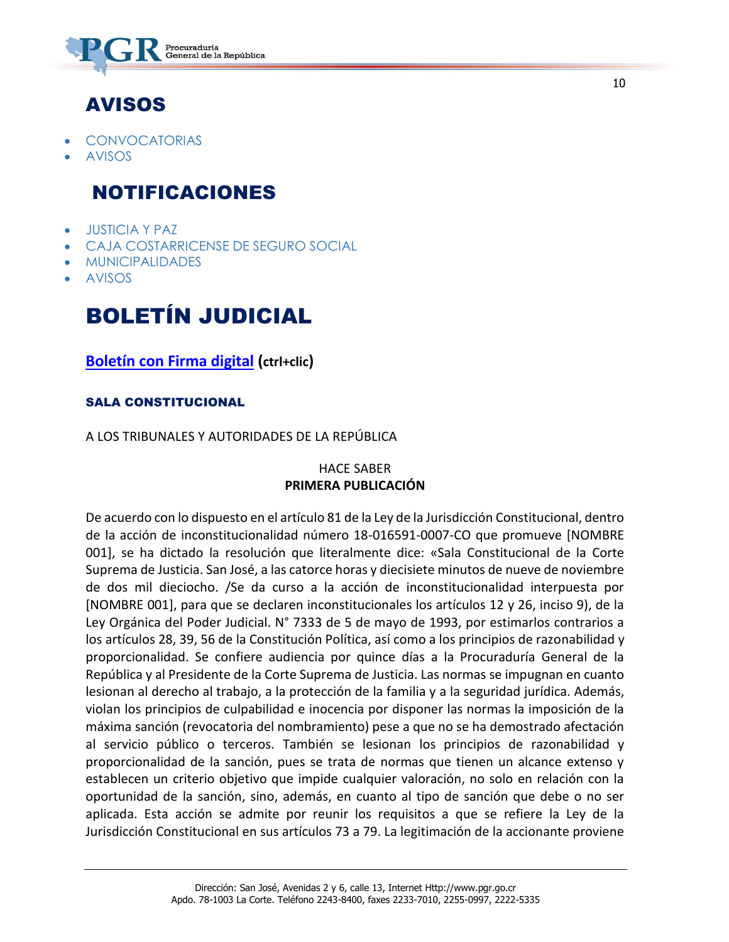

# AVISOS

- [CONVOCATORIAS](https://www.imprentanacional.go.cr/gaceta/#convocatorias)
- [AVISOS](https://www.imprentanacional.go.cr/gaceta/#avisos)

### NOTIFICACIONES

- [JUSTICIA Y PAZ](https://www.imprentanacional.go.cr/gaceta/#justicia-y-paz)
- [CAJA COSTARRICENSE DE SEGURO SOCIAL](https://www.imprentanacional.go.cr/gaceta/#caja-costarricense-de-segurosocial)
- [MUNICIPALIDADES](https://www.imprentanacional.go.cr/gaceta/#municipalidades)
- [AVISOS](https://www.imprentanacional.go.cr/gaceta/#avisos)

# BOLETÍN JUDICIAL

**[Boletín con Firma digital](https://www.imprentanacional.go.cr/pub-boletin/2018/12/bol_17_12_2018.pdf) (ctrl+clic)**

#### SALA CONSTITUCIONAL

#### A LOS TRIBUNALES Y AUTORIDADES DE LA REPÚBLICA

#### HACE SABER **PRIMERA PUBLICACIÓN**

De acuerdo con lo dispuesto en el artículo 81 de la Ley de la Jurisdicción Constitucional, dentro de la acción de inconstitucionalidad número 18-016591-0007-CO que promueve [NOMBRE 001], se ha dictado la resolución que literalmente dice: «Sala Constitucional de la Corte Suprema de Justicia. San José, a las catorce horas y diecisiete minutos de nueve de noviembre de dos mil dieciocho. /Se da curso a la acción de inconstitucionalidad interpuesta por [NOMBRE 001], para que se declaren inconstitucionales los artículos 12 y 26, inciso 9), de la Ley Orgánica del Poder Judicial. N° 7333 de 5 de mayo de 1993, por estimarlos contrarios a los artículos 28, 39, 56 de la Constitución Política, así como a los principios de razonabilidad y proporcionalidad. Se confiere audiencia por quince días a la Procuraduría General de la República y al Presidente de la Corte Suprema de Justicia. Las normas se impugnan en cuanto lesionan al derecho al trabajo, a la protección de la familia y a la seguridad jurídica. Además, violan los principios de culpabilidad e inocencia por disponer las normas la imposición de la máxima sanción (revocatoria del nombramiento) pese a que no se ha demostrado afectación al servicio público o terceros. También se lesionan los principios de razonabilidad y proporcionalidad de la sanción, pues se trata de normas que tienen un alcance extenso y establecen un criterio objetivo que impide cualquier valoración, no solo en relación con la oportunidad de la sanción, sino, además, en cuanto al tipo de sanción que debe o no ser aplicada. Esta acción se admite por reunir los requisitos a que se refiere la Ley de la Jurisdicción Constitucional en sus artículos 73 a 79. La legitimación de la accionante proviene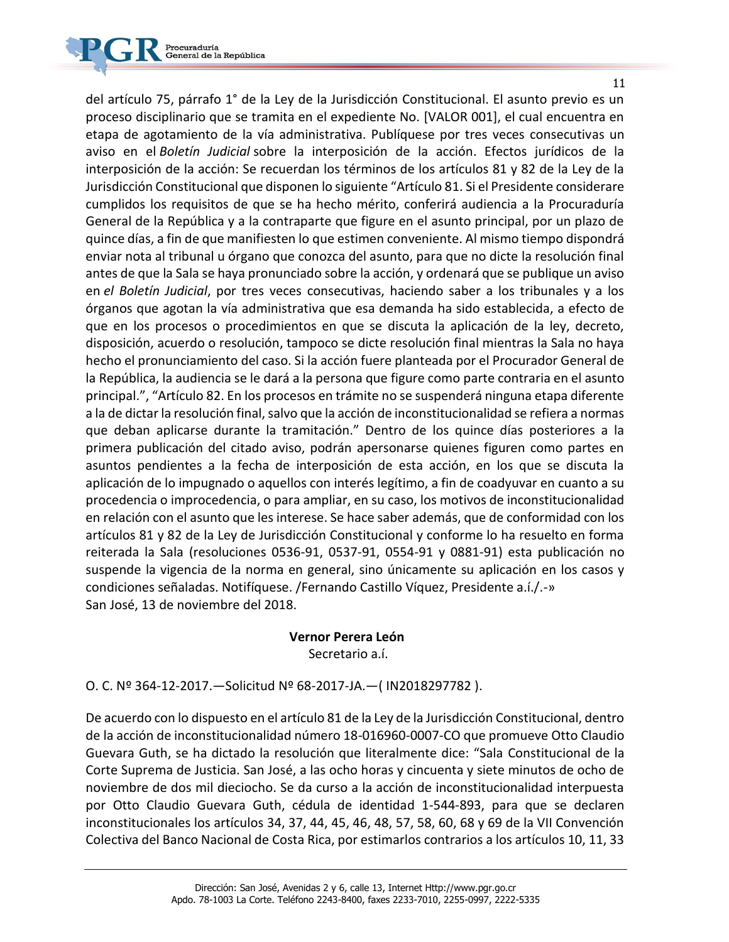

del artículo 75, párrafo 1° de la Ley de la Jurisdicción Constitucional. El asunto previo es un proceso disciplinario que se tramita en el expediente No. [VALOR 001], el cual encuentra en etapa de agotamiento de la vía administrativa. Publíquese por tres veces consecutivas un aviso en el *Boletín Judicial* sobre la interposición de la acción. Efectos jurídicos de la interposición de la acción: Se recuerdan los términos de los artículos 81 y 82 de la Ley de la Jurisdicción Constitucional que disponen lo siguiente "Artículo 81. Si el Presidente considerare cumplidos los requisitos de que se ha hecho mérito, conferirá audiencia a la Procuraduría General de la República y a la contraparte que figure en el asunto principal, por un plazo de quince días, a fin de que manifiesten lo que estimen conveniente. Al mismo tiempo dispondrá enviar nota al tribunal u órgano que conozca del asunto, para que no dicte la resolución final antes de que la Sala se haya pronunciado sobre la acción, y ordenará que se publique un aviso en *el Boletín Judicial*, por tres veces consecutivas, haciendo saber a los tribunales y a los órganos que agotan la vía administrativa que esa demanda ha sido establecida, a efecto de que en los procesos o procedimientos en que se discuta la aplicación de la ley, decreto, disposición, acuerdo o resolución, tampoco se dicte resolución final mientras la Sala no haya hecho el pronunciamiento del caso. Si la acción fuere planteada por el Procurador General de la República, la audiencia se le dará a la persona que figure como parte contraria en el asunto principal.", "Artículo 82. En los procesos en trámite no se suspenderá ninguna etapa diferente a la de dictar la resolución final, salvo que la acción de inconstitucionalidad se refiera a normas que deban aplicarse durante la tramitación." Dentro de los quince días posteriores a la primera publicación del citado aviso, podrán apersonarse quienes figuren como partes en asuntos pendientes a la fecha de interposición de esta acción, en los que se discuta la aplicación de lo impugnado o aquellos con interés legítimo, a fin de coadyuvar en cuanto a su procedencia o improcedencia, o para ampliar, en su caso, los motivos de inconstitucionalidad en relación con el asunto que les interese. Se hace saber además, que de conformidad con los artículos 81 y 82 de la Ley de Jurisdicción Constitucional y conforme lo ha resuelto en forma reiterada la Sala (resoluciones 0536-91, 0537-91, 0554-91 y 0881-91) esta publicación no suspende la vigencia de la norma en general, sino únicamente su aplicación en los casos y condiciones señaladas. Notifíquese. /Fernando Castillo Víquez, Presidente a.í./.-» San José, 13 de noviembre del 2018.

#### **Vernor Perera León**

Secretario a.í.

O. C. Nº 364-12-2017.—Solicitud Nº 68-2017-JA.—( IN2018297782 ).

De acuerdo con lo dispuesto en el artículo 81 de la Ley de la Jurisdicción Constitucional, dentro de la acción de inconstitucionalidad número 18-016960-0007-CO que promueve Otto Claudio Guevara Guth, se ha dictado la resolución que literalmente dice: "Sala Constitucional de la Corte Suprema de Justicia. San José, a las ocho horas y cincuenta y siete minutos de ocho de noviembre de dos mil dieciocho. Se da curso a la acción de inconstitucionalidad interpuesta por Otto Claudio Guevara Guth, cédula de identidad 1-544-893, para que se declaren inconstitucionales los artículos 34, 37, 44, 45, 46, 48, 57, 58, 60, 68 y 69 de la VII Convención Colectiva del Banco Nacional de Costa Rica, por estimarlos contrarios a los artículos 10, 11, 33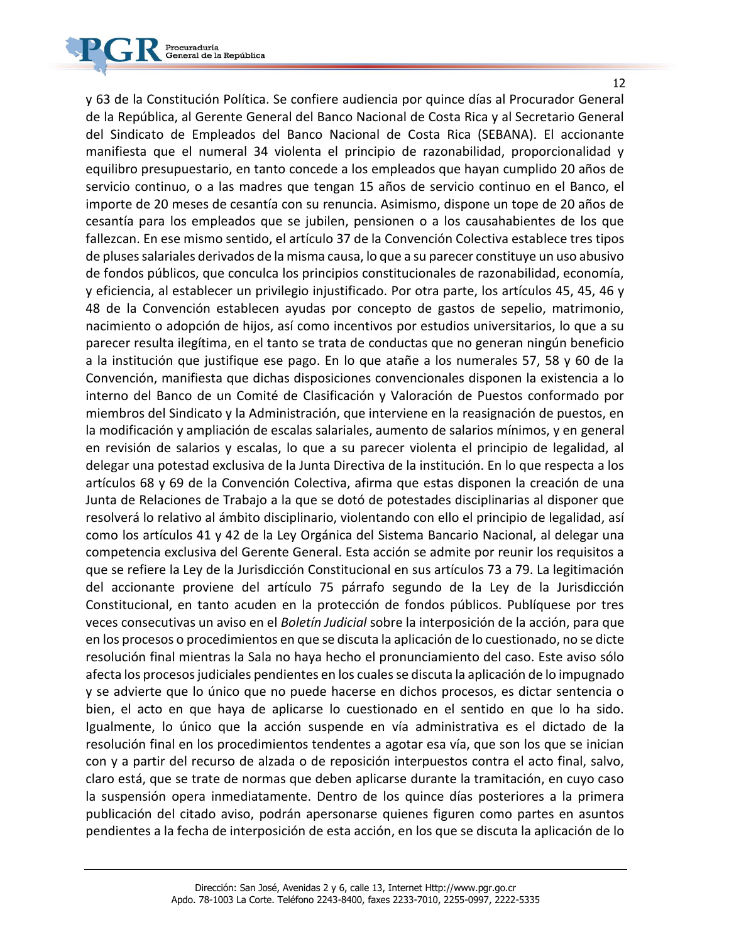y 63 de la Constitución Política. Se confiere audiencia por quince días al Procurador General de la República, al Gerente General del Banco Nacional de Costa Rica y al Secretario General del Sindicato de Empleados del Banco Nacional de Costa Rica (SEBANA). El accionante manifiesta que el numeral 34 violenta el principio de razonabilidad, proporcionalidad y equilibro presupuestario, en tanto concede a los empleados que hayan cumplido 20 años de servicio continuo, o a las madres que tengan 15 años de servicio continuo en el Banco, el importe de 20 meses de cesantía con su renuncia. Asimismo, dispone un tope de 20 años de cesantía para los empleados que se jubilen, pensionen o a los causahabientes de los que fallezcan. En ese mismo sentido, el artículo 37 de la Convención Colectiva establece tres tipos de pluses salariales derivados de la misma causa, lo que a su parecer constituye un uso abusivo de fondos públicos, que conculca los principios constitucionales de razonabilidad, economía, y eficiencia, al establecer un privilegio injustificado. Por otra parte, los artículos 45, 45, 46 y 48 de la Convención establecen ayudas por concepto de gastos de sepelio, matrimonio, nacimiento o adopción de hijos, así como incentivos por estudios universitarios, lo que a su parecer resulta ilegítima, en el tanto se trata de conductas que no generan ningún beneficio a la institución que justifique ese pago. En lo que atañe a los numerales 57, 58 y 60 de la Convención, manifiesta que dichas disposiciones convencionales disponen la existencia a lo interno del Banco de un Comité de Clasificación y Valoración de Puestos conformado por miembros del Sindicato y la Administración, que interviene en la reasignación de puestos, en la modificación y ampliación de escalas salariales, aumento de salarios mínimos, y en general en revisión de salarios y escalas, lo que a su parecer violenta el principio de legalidad, al delegar una potestad exclusiva de la Junta Directiva de la institución. En lo que respecta a los artículos 68 y 69 de la Convención Colectiva, afirma que estas disponen la creación de una Junta de Relaciones de Trabajo a la que se dotó de potestades disciplinarias al disponer que resolverá lo relativo al ámbito disciplinario, violentando con ello el principio de legalidad, así como los artículos 41 y 42 de la Ley Orgánica del Sistema Bancario Nacional, al delegar una competencia exclusiva del Gerente General. Esta acción se admite por reunir los requisitos a que se refiere la Ley de la Jurisdicción Constitucional en sus artículos 73 a 79. La legitimación del accionante proviene del artículo 75 párrafo segundo de la Ley de la Jurisdicción Constitucional, en tanto acuden en la protección de fondos públicos. Publíquese por tres veces consecutivas un aviso en el *Boletín Judicial* sobre la interposición de la acción, para que en los procesos o procedimientos en que se discuta la aplicación de lo cuestionado, no se dicte resolución final mientras la Sala no haya hecho el pronunciamiento del caso. Este aviso sólo afecta los procesos judiciales pendientes en los cuales se discuta la aplicación de lo impugnado y se advierte que lo único que no puede hacerse en dichos procesos, es dictar sentencia o bien, el acto en que haya de aplicarse lo cuestionado en el sentido en que lo ha sido. Igualmente, lo único que la acción suspende en vía administrativa es el dictado de la resolución final en los procedimientos tendentes a agotar esa vía, que son los que se inician con y a partir del recurso de alzada o de reposición interpuestos contra el acto final, salvo, claro está, que se trate de normas que deben aplicarse durante la tramitación, en cuyo caso la suspensión opera inmediatamente. Dentro de los quince días posteriores a la primera publicación del citado aviso, podrán apersonarse quienes figuren como partes en asuntos pendientes a la fecha de interposición de esta acción, en los que se discuta la aplicación de lo